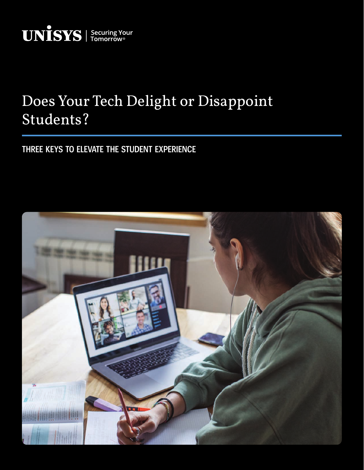

# Does Your Tech Delight or Disappoint Students?

# **THREE KEYS TO ELEVATE THE STUDENT EXPERIENCE**

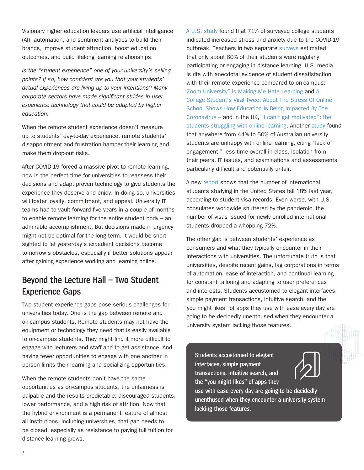Visionary higher education leaders use artificial intelligence (AI), automation, and sentiment analytics to build their brands, improve student attraction, boost education outcomes, and build lifelong learning relationships.

*Is the "student experience" one of your university's selling points? If so, how confident are you that your students' actual experiences are living up to your intentions? Many corporate sectors have made significant strides in user experience technology that could be adapted by higher education.* 

When the remote student experience doesn't measure up to students' day-to-day experience, remote students' disappointment and frustration hamper their learning and make them drop-out risks.

After COVID-19 forced a massive pivot to remote learning, now is the perfect time for universities to reassess their decisions and adapt proven technology to give students the experience they deserve and enjoy. In doing so, universities will foster loyalty, commitment, and appeal. University IT teams had to vault forward five years in a couple of months to enable remote learning for the entire student body  $-$  an admirable accomplishment. But decisions made in urgency might not be optimal for the long term. It would be shortsighted to let yesterday's expedient decisions become tomorrow's obstacles, especially if better solutions appear after gaining experience working and learning online.

## **Beyond the Lecture Hall – Two Student Experience Gaps**

Two student experience gaps pose serious challenges for universities today. One is the gap between remote and on-campus students. Remote students may not have the equipment or technology they need that is easily available to on-campus students. They might find it more difficult to engage with lecturers and staff and to get assistance. And having fewer opportunities to engage with one another in person limits their learning and socializing opportunities.

When the remote students don't have the same opportunities as on-campus students, the unfairness is palpable and the results predictable: discouraged students, lower performance, and a high risk of attrition. Now that the hybrid environment is a permanent feature of almost all institutions, including universities, that gap needs to be closed, especially as resistance to paying full tuition for distance learning grows.

[A U.S. study](https://www.ncbi.nlm.nih.gov/pmc/articles/PMC7473764/) found that 71% of surveyed college students indicated increased stress and anxiety due to the COVID-19 outbreak. Teachers in two separate [surveys](https://www.chalkbeat.org/2020/6/26/21304405/surveys-remote-learning-coronavirus-success-failure-teachers-parents) estimated that only about 60% of their students were regularly participating or engaging in distance learning. U.S. media is rife with anecdotal evidence of student dissatisfaction with their remote experience compared to on-campus: ["Zoom University" is Making Me Hate Learning](https://medium.com/age-of-awareness/zoom-university-is-making-me-hate-learning-9b5d7cb372a5) and [A](https://www.buzzfeednews.com/article/tanyachen/students-say-theyre-struggling-with-online-classes-in)  [College Student's Viral Tweet About The Stress Of Online](https://www.buzzfeednews.com/article/tanyachen/students-say-theyre-struggling-with-online-classes-in)  [School Shows How Education Is Being Impacted By The](https://www.buzzfeednews.com/article/tanyachen/students-say-theyre-struggling-with-online-classes-in)  [Coronavirus](https://www.buzzfeednews.com/article/tanyachen/students-say-theyre-struggling-with-online-classes-in) – and in the UK, ["I can't get motivated": the](https://www.theguardian.com/education/2020/may/04/i-cant-get-motivated-the-students-struggling-with-online-learning)  [students struggling with online learning.](https://www.theguardian.com/education/2020/may/04/i-cant-get-motivated-the-students-struggling-with-online-learning) Another [study](https://www.teqsa.gov.au/sites/default/files/student-experience-of-online-learning-in-australian-he-during-covid-19.pdf) found that anywhere from 44% to 50% of Australian university students are unhappy with online learning, citing "lack of engagement," less time overall in class, isolation from their peers, IT issues, and examinations and assessments particularly difficult and potentially unfair.

A new [report](https://www.forbes.com/sites/marvinkrislov/2021/03/24/international-students-are-coming-back-to-the-us-and-we-cant-wait-to-welcome-them-back/?sh=6963f66b7f6c) shows that the number of international students studying in the United States fell 18% last year, according to student visa records. Even worse, with U.S. consulates worldwide shuttered by the pandemic, the number of visas issued for newly enrolled international students dropped a whopping 72%.

The other gap is between students' experience as consumers and what they typically encounter in their interactions with universities. The unfortunate truth is that universities, despite recent gains, lag corporations in terms of automation, ease of interaction, and continual learning for constant tailoring and adapting to user preferences and interests. Students accustomed to elegant interfaces, simple payment transactions, intuitive search, and the "you might likes" of apps they use with ease every day are going to be decidedly unenthused when they encounter a university system lacking those features.

**Students accustomed to elegant interfaces, simple payment transactions, intuitive search, and the "you might likes" of apps they** 



**use with ease every day are going to be decidedly unenthused when they encounter a university system lacking those features.**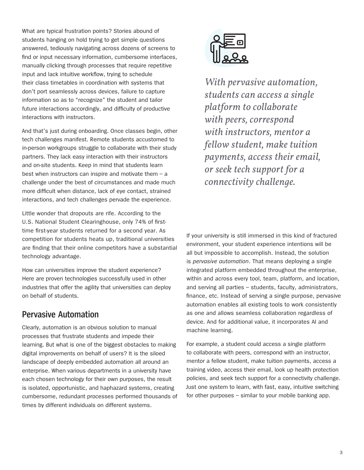What are typical frustration points? Stories abound of students hanging on hold trying to get simple questions answered, tediously navigating across dozens of screens to find or input necessary information, cumbersome interfaces, manually clicking through processes that require repetitive input and lack intuitive workflow, trying to schedule their class timetables in coordination with systems that don't port seamlessly across devices, failure to capture information so as to "recognize" the student and tailor future interactions accordingly, and difficulty of productive interactions with instructors.

And that's just during onboarding. Once classes begin, other tech challenges manifest. Remote students accustomed to in-person workgroups struggle to collaborate with their study partners. They lack easy interaction with their instructors and on-site students. Keep in mind that students learn best when instructors can inspire and motivate them – a challenge under the best of circumstances and made much more difficult when distance, lack of eye contact, strained interactions, and tech challenges pervade the experience.

Little wonder that dropouts are rife. According to the U.S. National Student Clearinghouse, only 74% of firsttime first-year students returned for a second year. As competition for students heats up, traditional universities are finding that their online competitors have a substantial technology advantage.

How can universities improve the student experience? Here are proven technologies successfully used in other industries that offer the agility that universities can deploy on behalf of students.

#### **Pervasive Automation**

Clearly, automation is an obvious solution to manual processes that frustrate students and impede their learning. But what is one of the biggest obstacles to making digital improvements on behalf of users? It is the siloed landscape of deeply embedded automation all around an enterprise. When various departments in a university have each chosen technology for their own purposes, the result is isolated, opportunistic, and haphazard systems, creating cumbersome, redundant processes performed thousands of times by different individuals on different systems.



*With pervasive automation, students can access a single platform to collaborate with peers, correspond with instructors, mentor a fellow student, make tuition payments, access their email, or seek tech support for a connectivity challenge.*

If your university is still immersed in this kind of fractured environment, your student experience intentions will be all but impossible to accomplish. Instead, the solution is *pervasive automation*. That means deploying a single integrated platform embedded throughout the enterprise, within and across every tool, team, platform, and location, and serving all parties – students, faculty, administrators, finance, etc. Instead of serving a single purpose, pervasive automation enables all existing tools to work consistently as one and allows seamless collaboration regardless of device. And for additional value, it incorporates AI and machine learning.

For example, a student could access a single platform to collaborate with peers, correspond with an instructor, mentor a fellow student, make tuition payments, access a training video, access their email, look up health protection policies, and seek tech support for a connectivity challenge. Just one system to learn, with fast, easy, intuitive switching for other purposes – similar to your mobile banking app.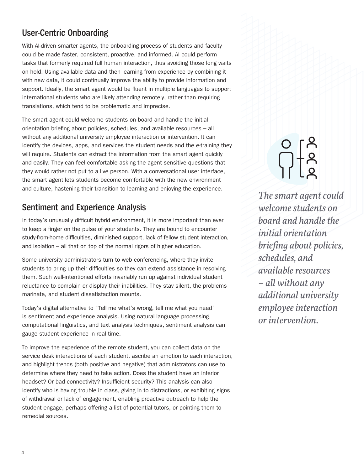### **User-Centric Onboarding**

With AI-driven smarter agents, the onboarding process of students and faculty could be made faster, consistent, proactive, and informed. AI could perform tasks that formerly required full human interaction, thus avoiding those long waits on hold. Using available data and then learning from experience by combining it with new data, it could continually improve the ability to provide information and support. Ideally, the smart agent would be fluent in multiple languages to support international students who are likely attending remotely, rather than requiring translations, which tend to be problematic and imprecise.

The smart agent could welcome students on board and handle the initial orientation briefing about policies, schedules, and available resources – all without any additional university employee interaction or intervention. It can identify the devices, apps, and services the student needs and the e-training they will require. Students can extract the information from the smart agent quickly and easily. They can feel comfortable asking the agent sensitive questions that they would rather not put to a live person. With a conversational user interface, the smart agent lets students become comfortable with the new environment and culture, hastening their transition to learning and enjoying the experience.

#### **Sentiment and Experience Analysis**

In today's unusually difficult hybrid environment, it is more important than ever to keep a finger on the pulse of your students. They are bound to encounter study-from-home difficulties, diminished support, lack of fellow student interaction, and isolation – all that on top of the normal rigors of higher education.

Some university administrators turn to web conferencing, where they invite students to bring up their difficulties so they can extend assistance in resolving them. Such well-intentioned efforts invariably run up against individual student reluctance to complain or display their inabilities. They stay silent, the problems marinate, and student dissatisfaction mounts.

Today's digital alternative to "Tell me what's wrong, tell me what you need" is sentiment and experience analysis. Using natural language processing, computational linguistics, and text analysis techniques, sentiment analysis can gauge student experience in real time.

To improve the experience of the remote student, you can collect data on the service desk interactions of each student, ascribe an emotion to each interaction, and highlight trends (both positive and negative) that administrators can use to determine where they need to take action. Does the student have an inferior headset? Or bad connectivity? Insufficient security? This analysis can also identify who is having trouble in class, giving in to distractions, or exhibiting signs of withdrawal or lack of engagement, enabling proactive outreach to help the student engage, perhaps offering a list of potential tutors, or pointing them to remedial sources.

*The smart agent could welcome students on board and handle the initial orientation briefing about policies, schedules, and available resources – all without any additional university employee interaction or intervention.*